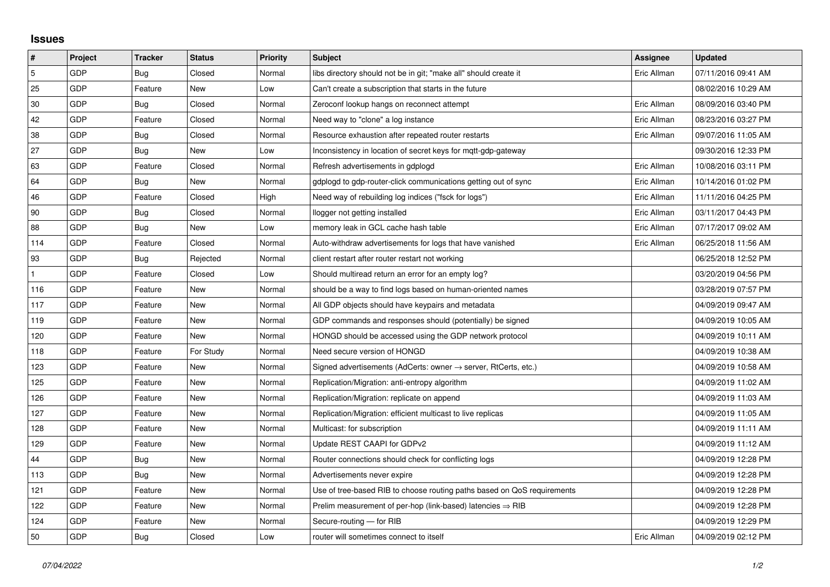## **Issues**

| #   | Project | <b>Tracker</b> | <b>Status</b> | <b>Priority</b> | <b>Subject</b>                                                             | Assignee    | <b>Updated</b>      |
|-----|---------|----------------|---------------|-----------------|----------------------------------------------------------------------------|-------------|---------------------|
| 5   | GDP     | Bug            | Closed        | Normal          | libs directory should not be in git; "make all" should create it           | Eric Allman | 07/11/2016 09:41 AM |
| 25  | GDP     | Feature        | New           | Low             | Can't create a subscription that starts in the future                      |             | 08/02/2016 10:29 AM |
| 30  | GDP     | Bug            | Closed        | Normal          | Zeroconf lookup hangs on reconnect attempt                                 | Eric Allman | 08/09/2016 03:40 PM |
| 42  | GDP     | Feature        | Closed        | Normal          | Need way to "clone" a log instance                                         | Eric Allman | 08/23/2016 03:27 PM |
| 38  | GDP     | <b>Bug</b>     | Closed        | Normal          | Resource exhaustion after repeated router restarts                         | Eric Allman | 09/07/2016 11:05 AM |
| 27  | GDP     | Bug            | New           | Low             | Inconsistency in location of secret keys for mqtt-gdp-gateway              |             | 09/30/2016 12:33 PM |
| 63  | GDP     | Feature        | Closed        | Normal          | Refresh advertisements in gdplogd                                          | Eric Allman | 10/08/2016 03:11 PM |
| 64  | GDP     | Bug            | New           | Normal          | gdplogd to gdp-router-click communications getting out of sync             | Eric Allman | 10/14/2016 01:02 PM |
| 46  | GDP     | Feature        | Closed        | High            | Need way of rebuilding log indices ("fsck for logs")                       | Eric Allman | 11/11/2016 04:25 PM |
| 90  | GDP     | Bug            | Closed        | Normal          | llogger not getting installed                                              | Eric Allman | 03/11/2017 04:43 PM |
| 88  | GDP     | Bug            | New           | Low             | memory leak in GCL cache hash table                                        | Eric Allman | 07/17/2017 09:02 AM |
| 114 | GDP     | Feature        | Closed        | Normal          | Auto-withdraw advertisements for logs that have vanished                   | Eric Allman | 06/25/2018 11:56 AM |
| 93  | GDP     | Bug            | Rejected      | Normal          | client restart after router restart not working                            |             | 06/25/2018 12:52 PM |
|     | GDP     | Feature        | Closed        | Low             | Should multiread return an error for an empty log?                         |             | 03/20/2019 04:56 PM |
| 116 | GDP     | Feature        | New           | Normal          | should be a way to find logs based on human-oriented names                 |             | 03/28/2019 07:57 PM |
| 117 | GDP     | Feature        | <b>New</b>    | Normal          | All GDP objects should have keypairs and metadata                          |             | 04/09/2019 09:47 AM |
| 119 | GDP     | Feature        | New           | Normal          | GDP commands and responses should (potentially) be signed                  |             | 04/09/2019 10:05 AM |
| 120 | GDP     | Feature        | <b>New</b>    | Normal          | HONGD should be accessed using the GDP network protocol                    |             | 04/09/2019 10:11 AM |
| 118 | GDP     | Feature        | For Study     | Normal          | Need secure version of HONGD                                               |             | 04/09/2019 10:38 AM |
| 123 | GDP     | Feature        | New           | Normal          | Signed advertisements (AdCerts: owner $\rightarrow$ server, RtCerts, etc.) |             | 04/09/2019 10:58 AM |
| 125 | GDP     | Feature        | New           | Normal          | Replication/Migration: anti-entropy algorithm                              |             | 04/09/2019 11:02 AM |
| 126 | GDP     | Feature        | <b>New</b>    | Normal          | Replication/Migration: replicate on append                                 |             | 04/09/2019 11:03 AM |
| 127 | GDP     | Feature        | New           | Normal          | Replication/Migration: efficient multicast to live replicas                |             | 04/09/2019 11:05 AM |
| 128 | GDP     | Feature        | New           | Normal          | Multicast: for subscription                                                |             | 04/09/2019 11:11 AM |
| 129 | GDP     | Feature        | <b>New</b>    | Normal          | Update REST CAAPI for GDPv2                                                |             | 04/09/2019 11:12 AM |
| 44  | GDP     | Bug            | New           | Normal          | Router connections should check for conflicting logs                       |             | 04/09/2019 12:28 PM |
| 113 | GDP     | Bug            | New           | Normal          | Advertisements never expire                                                |             | 04/09/2019 12:28 PM |
| 121 | GDP     | Feature        | New           | Normal          | Use of tree-based RIB to choose routing paths based on QoS requirements    |             | 04/09/2019 12:28 PM |
| 122 | GDP     | Feature        | New           | Normal          | Prelim measurement of per-hop (link-based) latencies $\Rightarrow$ RIB     |             | 04/09/2019 12:28 PM |
| 124 | GDP     | Feature        | New           | Normal          | Secure-routing - for RIB                                                   |             | 04/09/2019 12:29 PM |
| 50  | GDP     | <b>Bug</b>     | Closed        | Low             | router will sometimes connect to itself                                    | Eric Allman | 04/09/2019 02:12 PM |